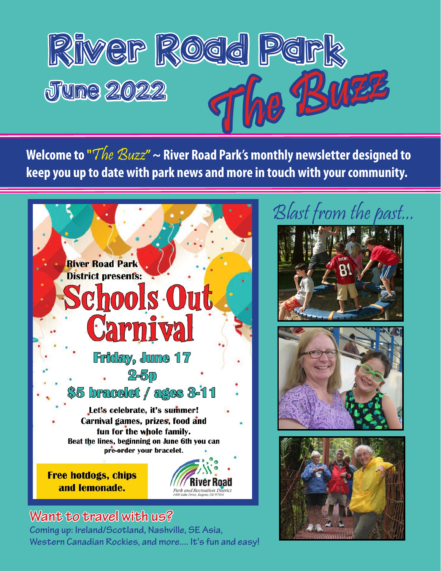

**Welcome to "**The Buzz**" ~ River Road Park's monthly newsletter designed to keep you up to date with park news and more in touch with your community.**



### **Want to travel with us?**

Western Canadian Rockies, and more.... It's fun and easy! **Coming up: Ireland/Scotland, Nashville, SE Asia,** 

# Blast from the past...

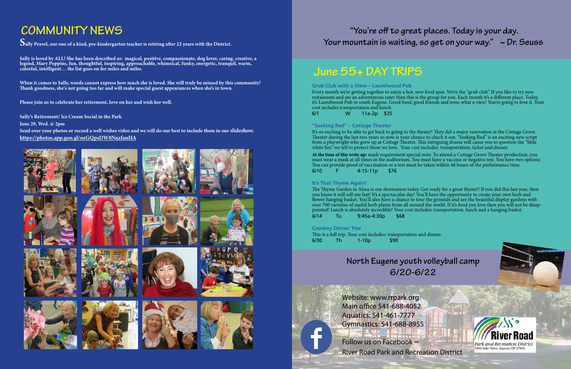## **Jun[e 55+ DAY TRIPS](https://secure.rec1.com/OR/river-road-park-recreation/catalog/index?filter=Y2F0ZWdvcnklNUIxNzk3MiU1RD0xJnNlYXJjaD0mcmVudGFsJTVCZnJvbSU1RD0mcmVudGFsJTVCdG8lNUQ9)**

## **"You're off to great places. Today is your day. Your mountain is waiting, so get on your way." ~ Dr. Seuss**

Follow us on Facebook ~ River Road Park and Recreation District





Website: www.rrpark.org Main office 541-688-4052 Aquatics: 541-461-7777 Gymnastics: 541-688-8955

**[Grub Club with a View – Laurelwood Pub](https://secure.rec1.com/OR/river-road-park-recreation/catalog/index?filter=Y2F0ZWdvcnklNUIxNzk3MiU1RD0xJnNlYXJjaD0mcmVudGFsJTVCZnJvbSU1RD0mcmVudGFsJTVCdG8lNUQ9)**

It's so exciting to be able to get back to going to the theater! They did a major renovation at the Cottage Grove Theater during the last two years so now is your chance to check it out. "Seeking Red" is an exciting new script from a playwright who grew up at Cottage Theatre. This intriguing drama will cause you to question the "little white lies" we tell to protect those we love. Your cost includes: transportation, ticket and dinner.

Every month we're getting together to enjoy a hot, new food spot. We're the "grub club". If you like to try new restaurants and are an adventurous eater then this is the group for you. Each month it's a different place. Today, it's Laurelwood Pub in south Eugene. Good food, good friends and wow, what a view! You're going to love it. Your cost includes transportation and lunch. 6/1 W 11a-2p \$35

### **["Seeking Red" – Cottage Theater](https://secure.rec1.com/OR/river-road-park-recreation/catalog/index?filter=Y2F0ZWdvcnklNUIxNzk3MiU1RD0xJnNlYXJjaD0mcmVudGFsJTVCZnJvbSU1RD0mcmVudGFsJTVCdG8lNUQ9)**

This is a full trip. Your cost includes: transportation and dinner. 6/30 Th 1-10p \$90

**At the time of this write up:** mask requirement special note: To attend a Cottage Grove Theater production, you must wear a mask at all times in the auditorium. You must have a vaccine or negative test. You have two options: You can provide proof of vaccination or a test must be taken within 48 hours of the performance time. 6/10 F 4:15-11p \$76

### **[It's That Thyme Again!](https://secure.rec1.com/OR/river-road-park-recreation/catalog/index?filter=Y2F0ZWdvcnklNUIxNzk3MiU1RD0xJnNlYXJjaD0mcmVudGFsJTVCZnJvbSU1RD0mcmVudGFsJTVCdG8lNUQ9)**

The Thyme Garden in Alsea is our destination today. Get ready for a great thyme!! If you did this last year, then you know it will sell out fast! It's a spectacular day! You'll have the opportunity to create your own herb and flower hanging basket. You'll also have a chance to tour the grounds and see the beautiful display gardens with over 700 varieties of useful herb plants from all around the world. If it's food you love then you will not be disappointed! Lunch is absolutely incredible! Your cost includes: transportation, lunch and a hanging basket. 6/14 Tu 9:45a-4:30p \$68

### **[Cowboy Dinner Tree](https://secure.rec1.com/OR/river-road-park-recreation/catalog/index?filter=Y2F0ZWdvcnklNUIxNzk3MiU1RD0xJnNlYXJjaD0mcmVudGFsJTVCZnJvbSU1RD0mcmVudGFsJTVCdG8lNUQ9)**

# **COMMUNITY NEWS**

**Sally Pravel, our one of a kind, pre-kindergarten teacher is retiring after 22 years with the District.** 

**Sally is loved by ALL! She has been described as: magical, positive, compassionate, dog lover, caring, creative, a legend, Mary Poppins, fun, thoughtful, inspiring, approachable, whimsical, funky, energetic, tranquil, warm, colorful, intelligent… the list goes on for miles and miles.**

**When it comes to Sally, words cannot express how much she is loved. She will truly be missed by this community! Thank goodness, she's not going too far and will make special guest appearances when she's in town.** 

**Please join us to celebrate her retirement, love on her and wish her well.** 

**Sally's Retirement/ Ice Cream Social in the Park**

**June 29, Wed. @ 2pm**

**Send over your photos or record a well wishes video and we will do our best to include them in our slideshow. <https://photos.app.goo.gl/ozGQpsDW8NazfanHA>**



**North Eugene youth [volleyball camp](https://secure.rec1.com/OR/river-road-park-recreation/catalog/index?filter=dGFiJTVCMTk3MCU1RD0xJnNlYXJjaD0mcmVudGFsJTVCZnJvbSU1RD0mcmVudGFsJTVCdG8lNUQ9) 6/20-6/22**